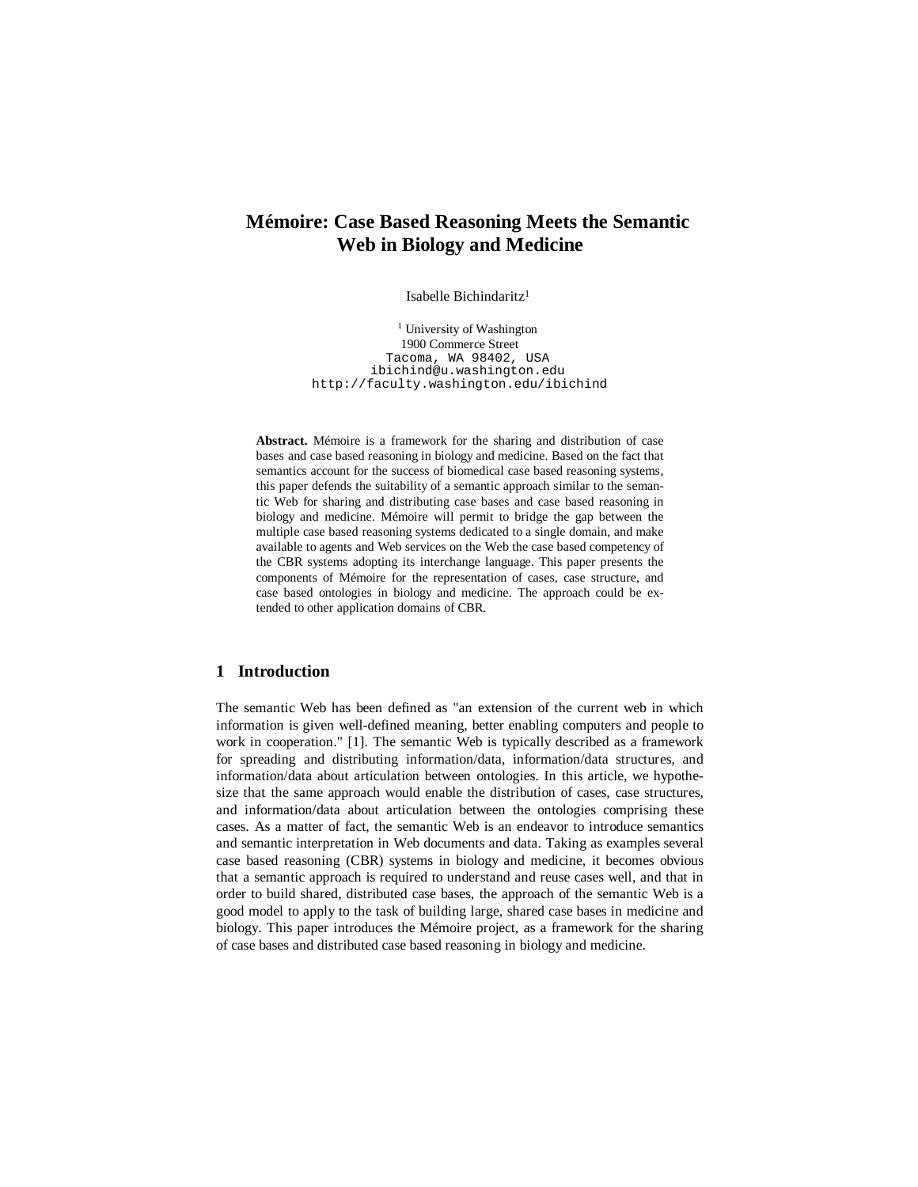# **Mémoire: Case Based Reasoning Meets the Semantic Web in Biology and Medicine**

Isabelle Bichindaritz1

<sup>1</sup> University of Washington 1900 Commerce Street Tacoma, WA 98402, USA ibichind@u.washington.edu http://faculty.washington.edu/ibichind

**Abstract.** Mémoire is a framework for the sharing and distribution of case bases and case based reasoning in biology and medicine. Based on the fact that semantics account for the success of biomedical case based reasoning systems, this paper defends the suitability of a semantic approach similar to the semantic Web for sharing and distributing case bases and case based reasoning in biology and medicine. Mémoire will permit to bridge the gap between the multiple case based reasoning systems dedicated to a single domain, and make available to agents and Web services on the Web the case based competency of the CBR systems adopting its interchange language. This paper presents the components of Mémoire for the representation of cases, case structure, and case based ontologies in biology and medicine. The approach could be extended to other application domains of CBR.

# **1 Introduction**

The semantic Web has been defined as "an extension of the current web in which information is given well-defined meaning, better enabling computers and people to work in cooperation." [1]. The semantic Web is typically described as a framework for spreading and distributing information/data, information/data structures, and information/data about articulation between ontologies. In this article, we hypothesize that the same approach would enable the distribution of cases, case structures, and information/data about articulation between the ontologies comprising these cases. As a matter of fact, the semantic Web is an endeavor to introduce semantics and semantic interpretation in Web documents and data. Taking as examples several case based reasoning (CBR) systems in biology and medicine, it becomes obvious that a semantic approach is required to understand and reuse cases well, and that in order to build shared, distributed case bases, the approach of the semantic Web is a good model to apply to the task of building large, shared case bases in medicine and biology. This paper introduces the Mémoire project, as a framework for the sharing of case bases and distributed case based reasoning in biology and medicine.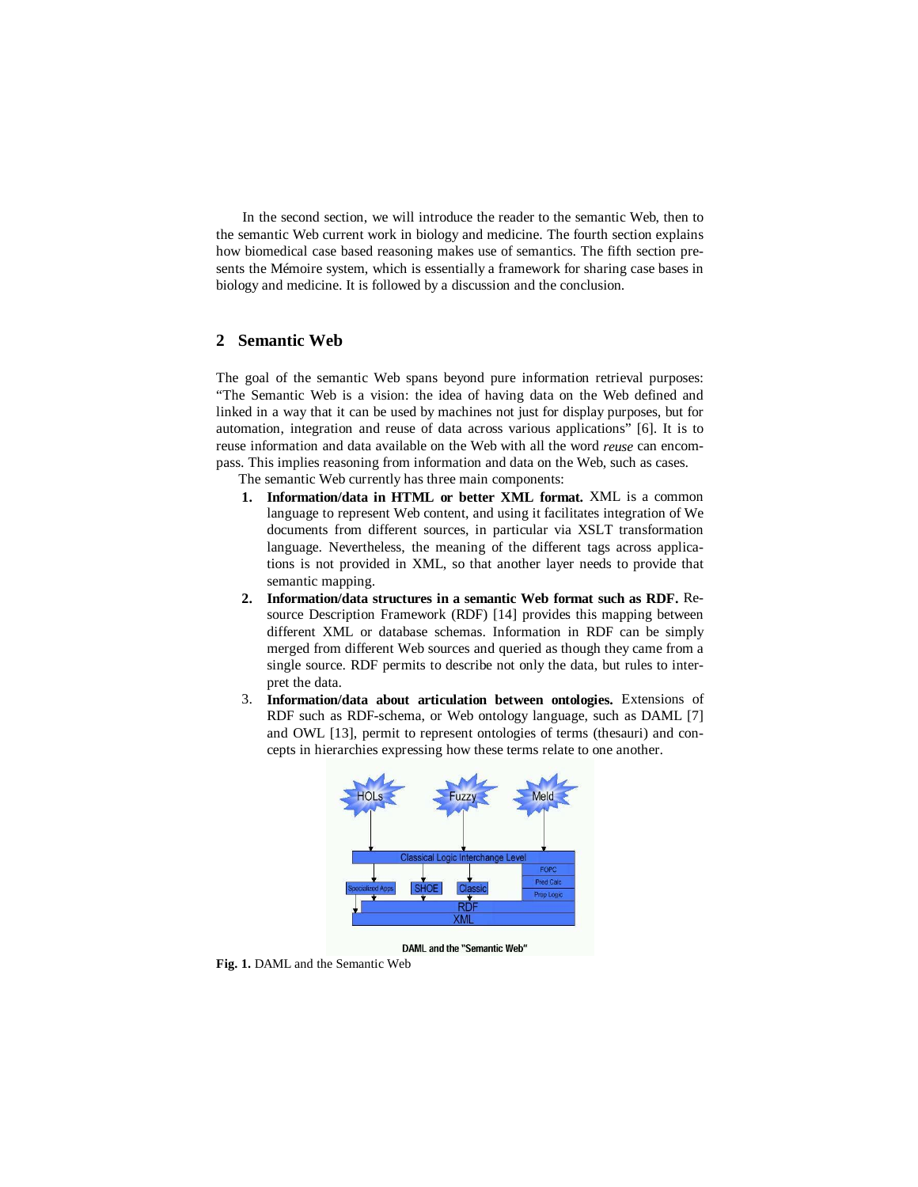In the second section, we will introduce the reader to the semantic Web, then to the semantic Web current work in biology and medicine. The fourth section explains how biomedical case based reasoning makes use of semantics. The fifth section presents the Mémoire system, which is essentially a framework for sharing case bases in biology and medicine. It is followed by a discussion and the conclusion.

# **2 Semantic Web**

The goal of the semantic Web spans beyond pure information retrieval purposes: "The Semantic Web is a vision: the idea of having data on the Web defined and linked in a way that it can be used by machines not just for display purposes, but for automation, integration and reuse of data across various applications" [6]. It is to reuse information and data available on the Web with all the word *reuse* can encompass. This implies reasoning from information and data on the Web, such as cases.

The semantic Web currently has three main components:

- **1. Information/data in HTML or better XML format.** XML is a common language to represent Web content, and using it facilitates integration of We documents from different sources, in particular via XSLT transformation language. Nevertheless, the meaning of the different tags across applications is not provided in XML, so that another layer needs to provide that semantic mapping.
- **2. Information/data structures in a semantic Web format such as RDF.** Resource Description Framework (RDF) [14] provides this mapping between different XML or database schemas. Information in RDF can be simply merged from different Web sources and queried as though they came from a single source. RDF permits to describe not only the data, but rules to interpret the data.
- 3. **Information/data about articulation between ontologies.** Extensions of RDF such as RDF-schema, or Web ontology language, such as DAML [7] and OWL [13], permit to represent ontologies of terms (thesauri) and concepts in hierarchies expressing how these terms relate to one another.



**DAML** and the "Semantic Web"

**Fig. 1.** DAML and the Semantic Web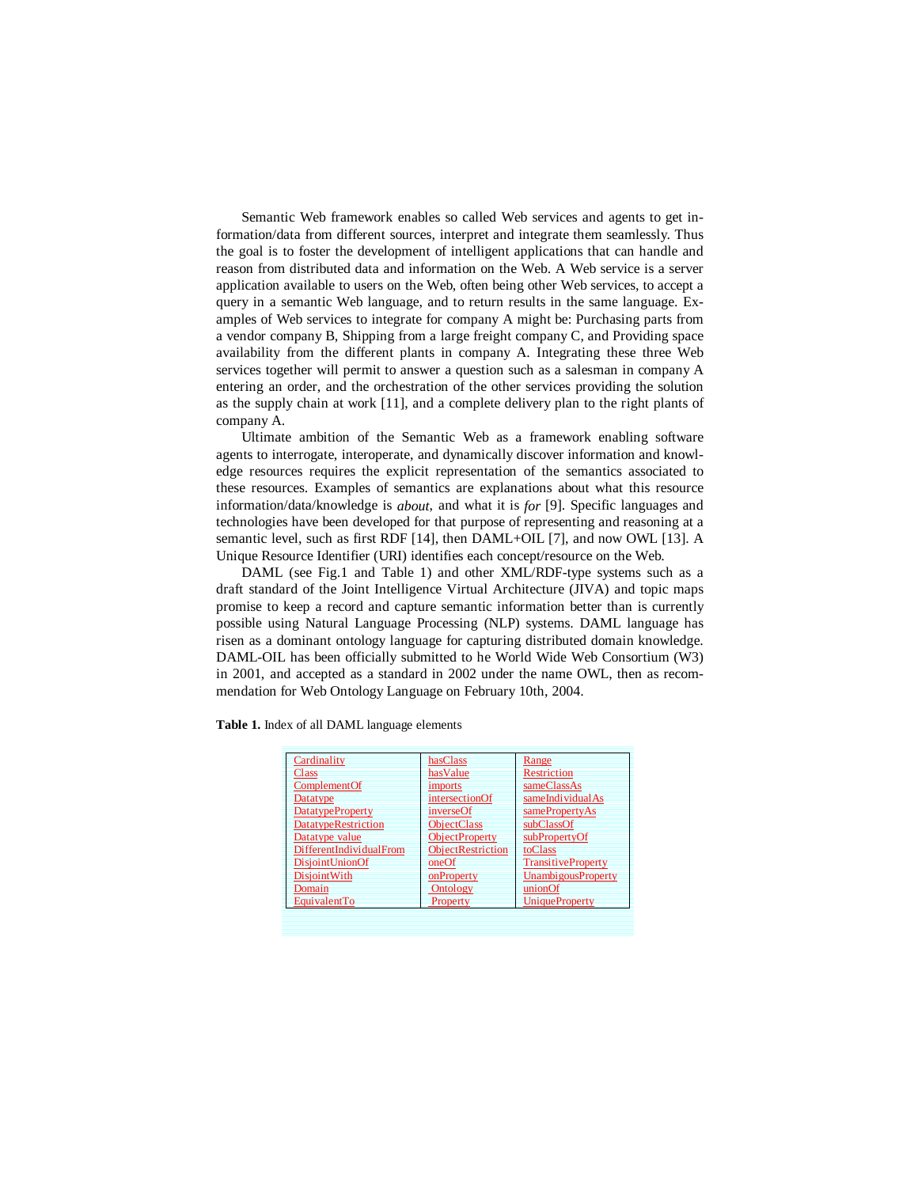Semantic Web framework enables so called Web services and agents to get information/data from different sources, interpret and integrate them seamlessly. Thus the goal is to foster the development of intelligent applications that can handle and reason from distributed data and information on the Web. A Web service is a server application available to users on the Web, often being other Web services, to accept a query in a semantic Web language, and to return results in the same language. Examples of Web services to integrate for company A might be: Purchasing parts from a vendor company B, Shipping from a large freight company C, and Providing space availability from the different plants in company A. Integrating these three Web services together will permit to answer a question such as a salesman in company A entering an order, and the orchestration of the other services providing the solution as the supply chain at work [11], and a complete delivery plan to the right plants of company A.

Ultimate ambition of the Semantic Web as a framework enabling software agents to interrogate, interoperate, and dynamically discover information and knowledge resources requires the explicit representation of the semantics associated to these resources. Examples of semantics are explanations about what this resource information/data/knowledge is *about*, and what it is *for* [9]. Specific languages and technologies have been developed for that purpose of representing and reasoning at a semantic level, such as first RDF [14], then DAML+OIL [7], and now OWL [13]. A Unique Resource Identifier (URI) identifies each concept/resource on the Web.

DAML (see Fig.1 and Table 1) and other XML/RDF-type systems such as a draft standard of the Joint Intelligence Virtual Architecture (JIVA) and topic maps promise to keep a record and capture semantic information better than is currently possible using Natural Language Processing (NLP) systems. DAML language has risen as a dominant ontology language for capturing distributed domain knowledge. DAML-OIL has been officially submitted to he World Wide Web Consortium (W3) in 2001, and accepted as a standard in 2002 under the name OWL, then as recommendation for Web Ontology Language on February 10th, 2004.

|  |  |  |  |  | Table 1. Index of all DAML language elements |
|--|--|--|--|--|----------------------------------------------|
|--|--|--|--|--|----------------------------------------------|

| Cardinality                    | hasClass                 | Range                     |
|--------------------------------|--------------------------|---------------------------|
| <b>Class</b>                   | hasValue                 | Restriction               |
| Complement Of                  | <i>imports</i>           | sameClassAs               |
| Datatype                       | intersectionOf           | sameIndividualAs          |
| <b>DatatypeProperty</b>        | inverseOf                | samePropertyAs            |
| DatatypeRestriction            | <b>ObjectClass</b>       | subClassOf                |
| Datatype value                 | <b>ObjectProperty</b>    | subPropertyOf             |
| <b>DifferentIndividualFrom</b> | <b>ObjectRestriction</b> | toClass                   |
| DisjointUnionOf                | oneOf                    | <b>TransitiveProperty</b> |
| <b>DisjointWith</b>            | onProperty               | UnambigousProperty        |
| Domain                         | Ontology                 | unionOf                   |
| EquivalentTo                   | Property                 | <b>UniqueProperty</b>     |
|                                |                          |                           |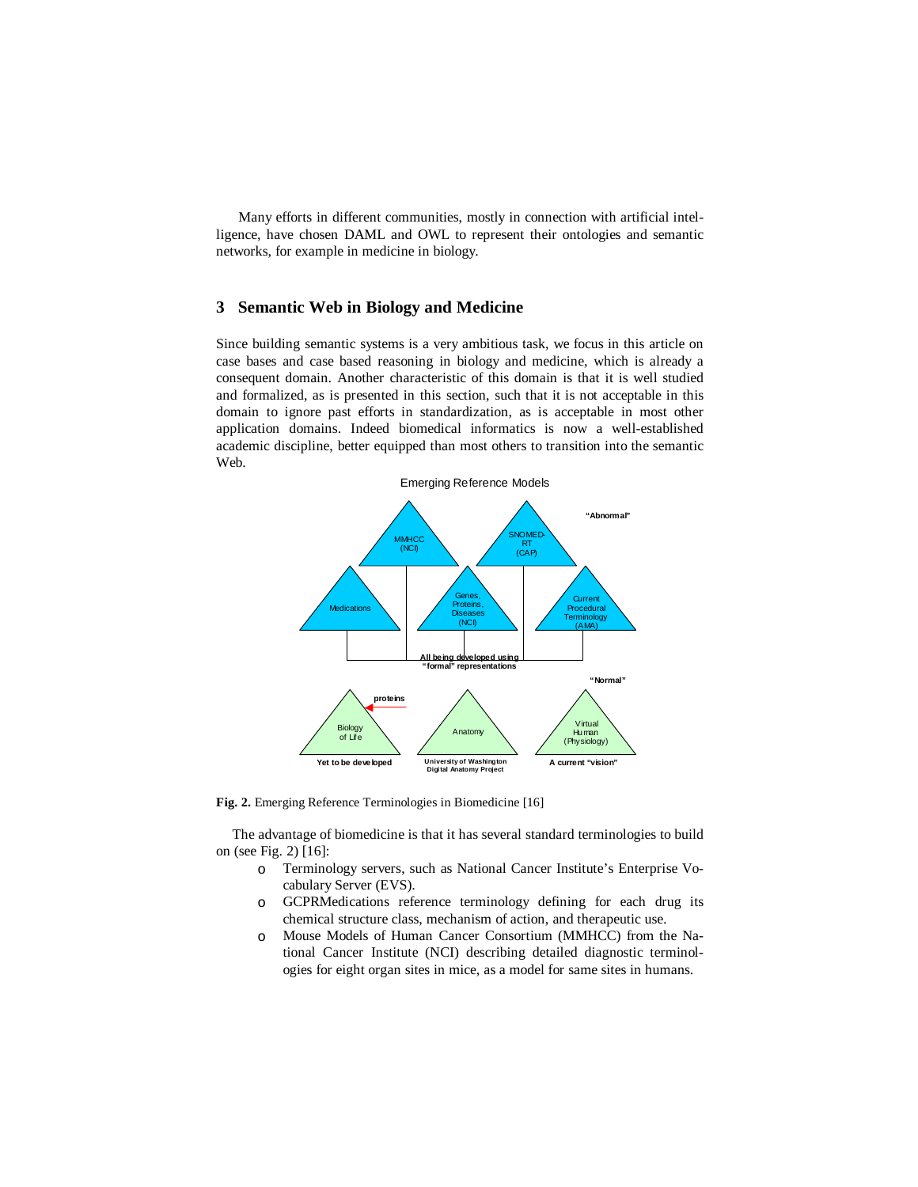Many efforts in different communities, mostly in connection with artificial intelligence, have chosen DAML and OWL to represent their ontologies and semantic networks, for example in medicine in biology.

# **3 Semantic Web in Biology and Medicine**

Since building semantic systems is a very ambitious task, we focus in this article on case bases and case based reasoning in biology and medicine, which is already a consequent domain. Another characteristic of this domain is that it is well studied and formalized, as is presented in this section, such that it is not acceptable in this domain to ignore past efforts in standardization, as is acceptable in most other application domains. Indeed biomedical informatics is now a well-established academic discipline, better equipped than most others to transition into the semantic Web.



**Fig. 2.** Emerging Reference Terminologies in Biomedicine [16]

The advantage of biomedicine is that it has several standard terminologies to build on (see Fig. 2) [16]:

- o Terminology servers, such as National Cancer Institute's Enterprise Vocabulary Server (EVS).
- o GCPRMedications reference terminology defining for each drug its chemical structure class, mechanism of action, and therapeutic use.
- o Mouse Models of Human Cancer Consortium (MMHCC) from the National Cancer Institute (NCI) describing detailed diagnostic terminologies for eight organ sites in mice, as a model for same sites in humans.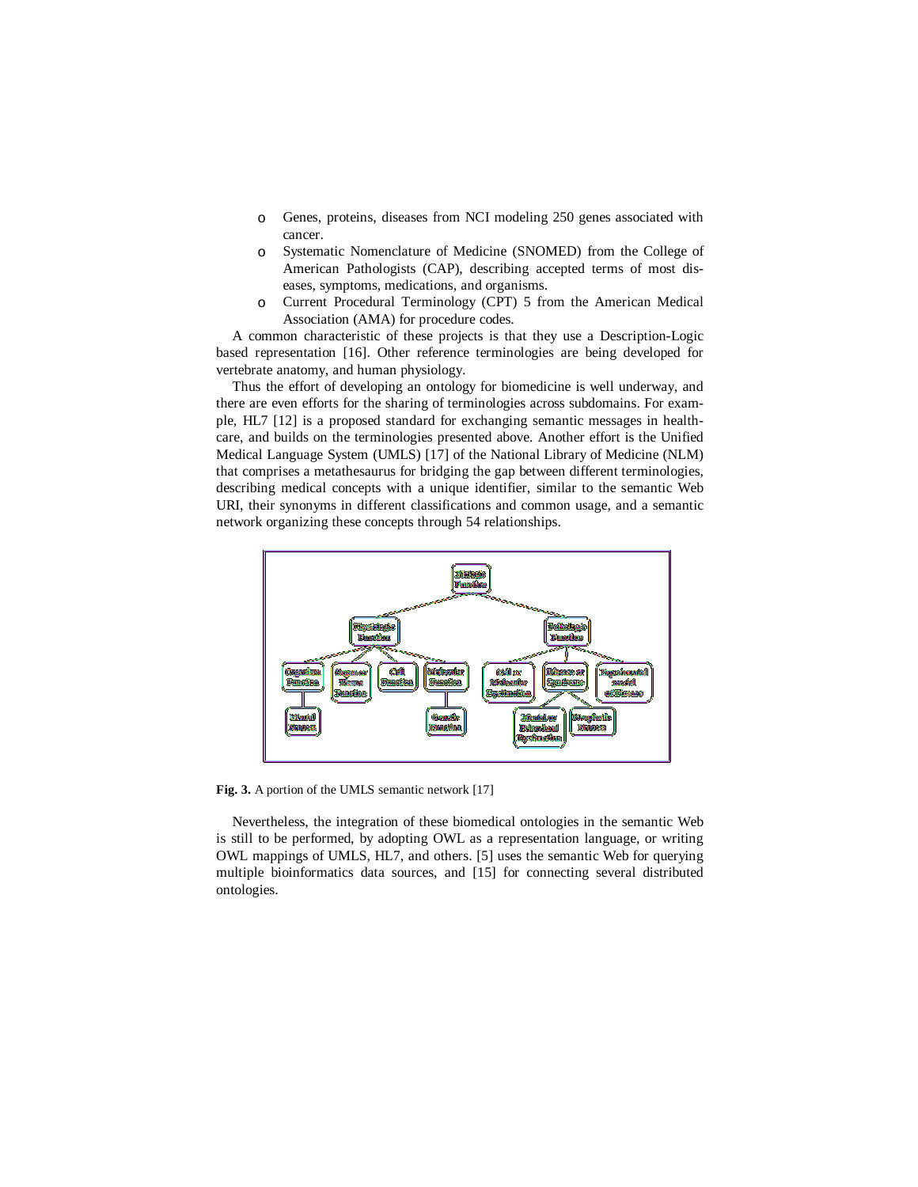- o Genes, proteins, diseases from NCI modeling 250 genes associated with cancer.
- o Systematic Nomenclature of Medicine (SNOMED) from the College of American Pathologists (CAP), describing accepted terms of most diseases, symptoms, medications, and organisms.
- o Current Procedural Terminology (CPT) 5 from the American Medical Association (AMA) for procedure codes.

A common characteristic of these projects is that they use a Description-Logic based representation [16]. Other reference terminologies are being developed for vertebrate anatomy, and human physiology.

Thus the effort of developing an ontology for biomedicine is well underway, and there are even efforts for the sharing of terminologies across subdomains. For example, HL7 [12] is a proposed standard for exchanging semantic messages in healthcare, and builds on the terminologies presented above. Another effort is the Unified Medical Language System (UMLS) [17] of the National Library of Medicine (NLM) that comprises a metathesaurus for bridging the gap between different terminologies, describing medical concepts with a unique identifier, similar to the semantic Web URI, their synonyms in different classifications and common usage, and a semantic network organizing these concepts through 54 relationships.



**Fig. 3.** A portion of the UMLS semantic network [17]

Nevertheless, the integration of these biomedical ontologies in the semantic Web is still to be performed, by adopting OWL as a representation language, or writing OWL mappings of UMLS, HL7, and others. [5] uses the semantic Web for querying multiple bioinformatics data sources, and [15] for connecting several distributed ontologies.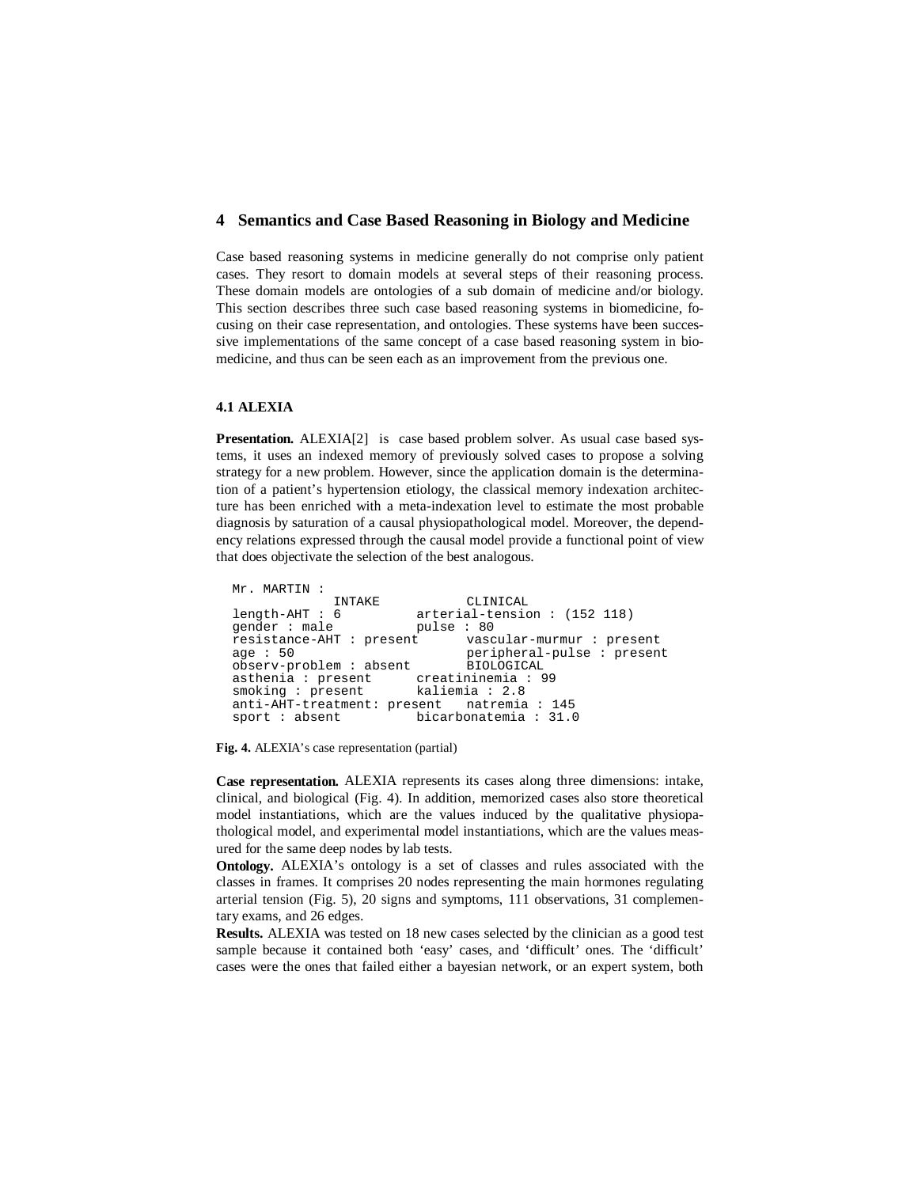# **4 Semantics and Case Based Reasoning in Biology and Medicine**

Case based reasoning systems in medicine generally do not comprise only patient cases. They resort to domain models at several steps of their reasoning process. These domain models are ontologies of a sub domain of medicine and/or biology. This section describes three such case based reasoning systems in biomedicine, focusing on their case representation, and ontologies. These systems have been successive implementations of the same concept of a case based reasoning system in biomedicine, and thus can be seen each as an improvement from the previous one.

#### **4.1 ALEXIA**

**Presentation.** ALEXIA[2] is case based problem solver. As usual case based systems, it uses an indexed memory of previously solved cases to propose a solving strategy for a new problem. However, since the application domain is the determination of a patient's hypertension etiology, the classical memory indexation architecture has been enriched with a meta-indexation level to estimate the most probable diagnosis by saturation of a causal physiopathological model. Moreover, the dependency relations expressed through the causal model provide a functional point of view that does objectivate the selection of the best analogous.

```
Mr. MARTIN :<br>INTAKE
INTAKE CLINICAL<br>length-AHT: 6 arterial-tensic
                              arterial-tension : (152 \t118)<br>pulse : 80
gender : male<br>resistance-AHT : present
resistance-AHT : present vascular-murmur : present 
                                      peripheral-pulse : present RIOLOGICALobserv-problem: absentasthenia : present creatininemia : 99<br>smoking : present kaliemia : 2.8
smoking : present kaliemia : 2.8<br>anti-AHT-treatment: present natremia : 145
anti-AHT-treatment: present
sport : absent bicarbonatemia : 31.0
```
**Fig. 4.** ALEXIA's case representation (partial)

**Case representation.** ALEXIA represents its cases along three dimensions: intake, clinical, and biological (Fig. 4). In addition, memorized cases also store theoretical model instantiations, which are the values induced by the qualitative physiopathological model, and experimental model instantiations, which are the values measured for the same deep nodes by lab tests.

**Ontology.** ALEXIA's ontology is a set of classes and rules associated with the classes in frames. It comprises 20 nodes representing the main hormones regulating arterial tension (Fig. 5), 20 signs and symptoms, 111 observations, 31 complementary exams, and 26 edges.

**Results.** ALEXIA was tested on 18 new cases selected by the clinician as a good test sample because it contained both 'easy' cases, and 'difficult' ones. The 'difficult' cases were the ones that failed either a bayesian network, or an expert system, both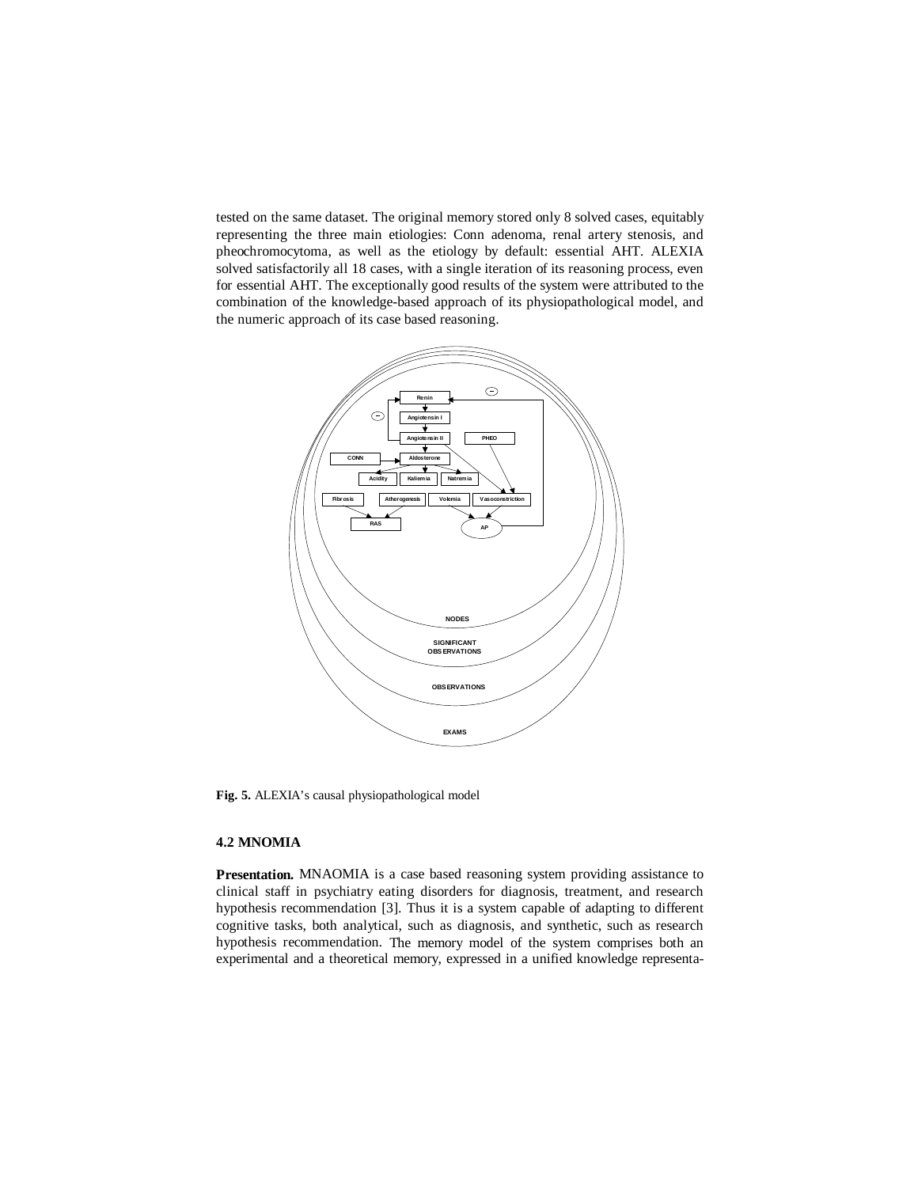tested on the same dataset. The original memory stored only 8 solved cases, equitably representing the three main etiologies: Conn adenoma, renal artery stenosis, and pheochromocytoma, as well as the etiology by default: essential AHT. ALEXIA solved satisfactorily all 18 cases, with a single iteration of its reasoning process, even for essential AHT. The exceptionally good results of the system were attributed to the combination of the knowledge-based approach of its physiopathological model, and the numeric approach of its case based reasoning.



**Fig. 5.** ALEXIA's causal physiopathological model

### **4.2 MNOMIA**

Presentation. MNAOMIA is a case based reasoning system providing assistance to clinical staff in psychiatry eating disorders for diagnosis, treatment, and research hypothesis recommendation [3]. Thus it is a system capable of adapting to different cognitive tasks, both analytical, such as diagnosis, and synthetic, such as research hypothesis recommendation. The memory model of the system comprises both an experimental and a theoretical memory, expressed in a unified knowledge representa-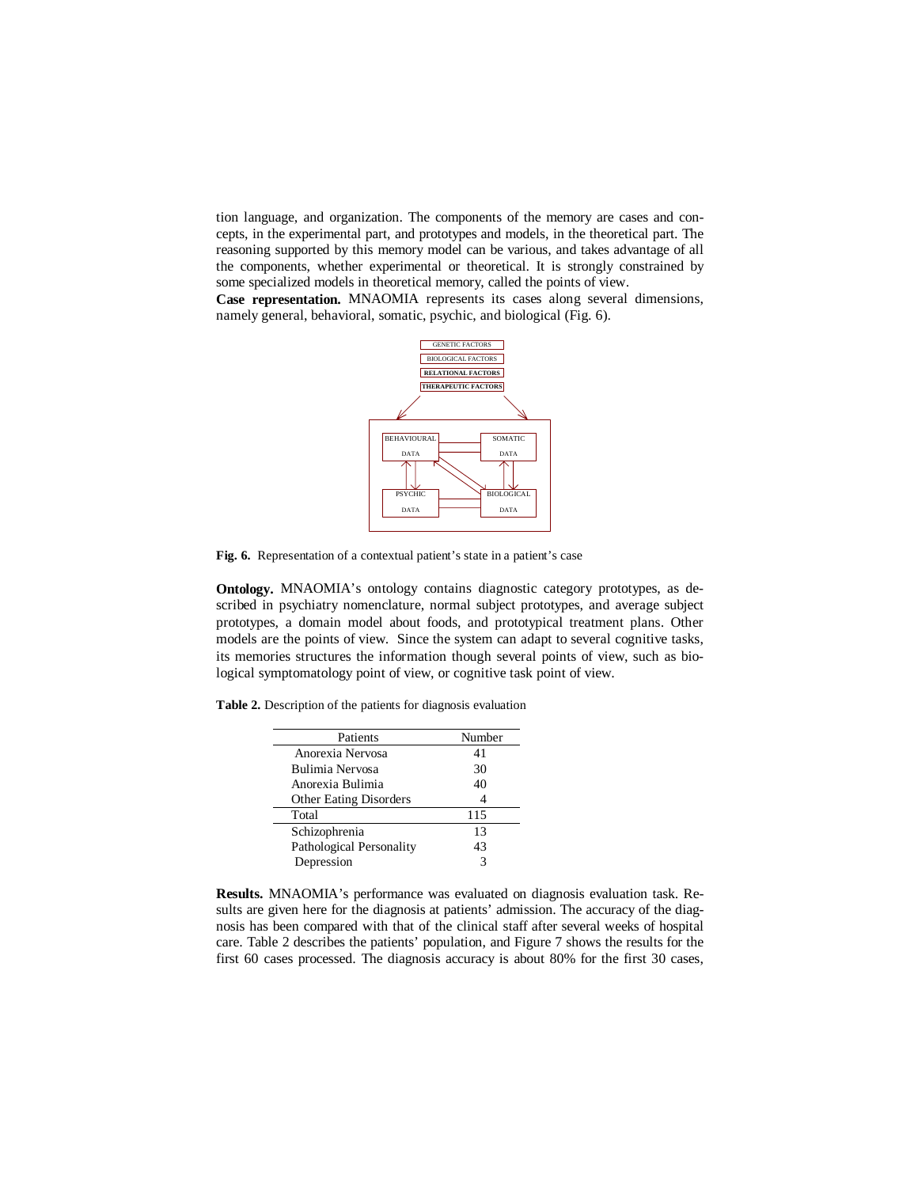tion language, and organization. The components of the memory are cases and concepts, in the experimental part, and prototypes and models, in the theoretical part. The reasoning supported by this memory model can be various, and takes advantage of all the components, whether experimental or theoretical. It is strongly constrained by some specialized models in theoretical memory, called the points of view.

**Case representation.** MNAOMIA represents its cases along several dimensions, namely general, behavioral, somatic, psychic, and biological (Fig. 6).



**Fig. 6.** Representation of a contextual patient's state in a patient's case

**Ontology.** MNAOMIA's ontology contains diagnostic category prototypes, as described in psychiatry nomenclature, normal subject prototypes, and average subject prototypes, a domain model about foods, and prototypical treatment plans. Other models are the points of view. Since the system can adapt to several cognitive tasks, its memories structures the information though several points of view, such as biological symptomatology point of view, or cognitive task point of view.

| Table 2. Description of the patients for diagnosis evaluation |  |  |  |  |
|---------------------------------------------------------------|--|--|--|--|
|---------------------------------------------------------------|--|--|--|--|

| Number |
|--------|
| 41     |
| 30     |
| 40     |
|        |
| 115    |
| 13     |
| 43     |
| 3      |
|        |

**Results.** MNAOMIA's performance was evaluated on diagnosis evaluation task. Results are given here for the diagnosis at patients' admission. The accuracy of the diagnosis has been compared with that of the clinical staff after several weeks of hospital care. Table 2 describes the patients' population, and Figure 7 shows the results for the first 60 cases processed. The diagnosis accuracy is about 80% for the first 30 cases,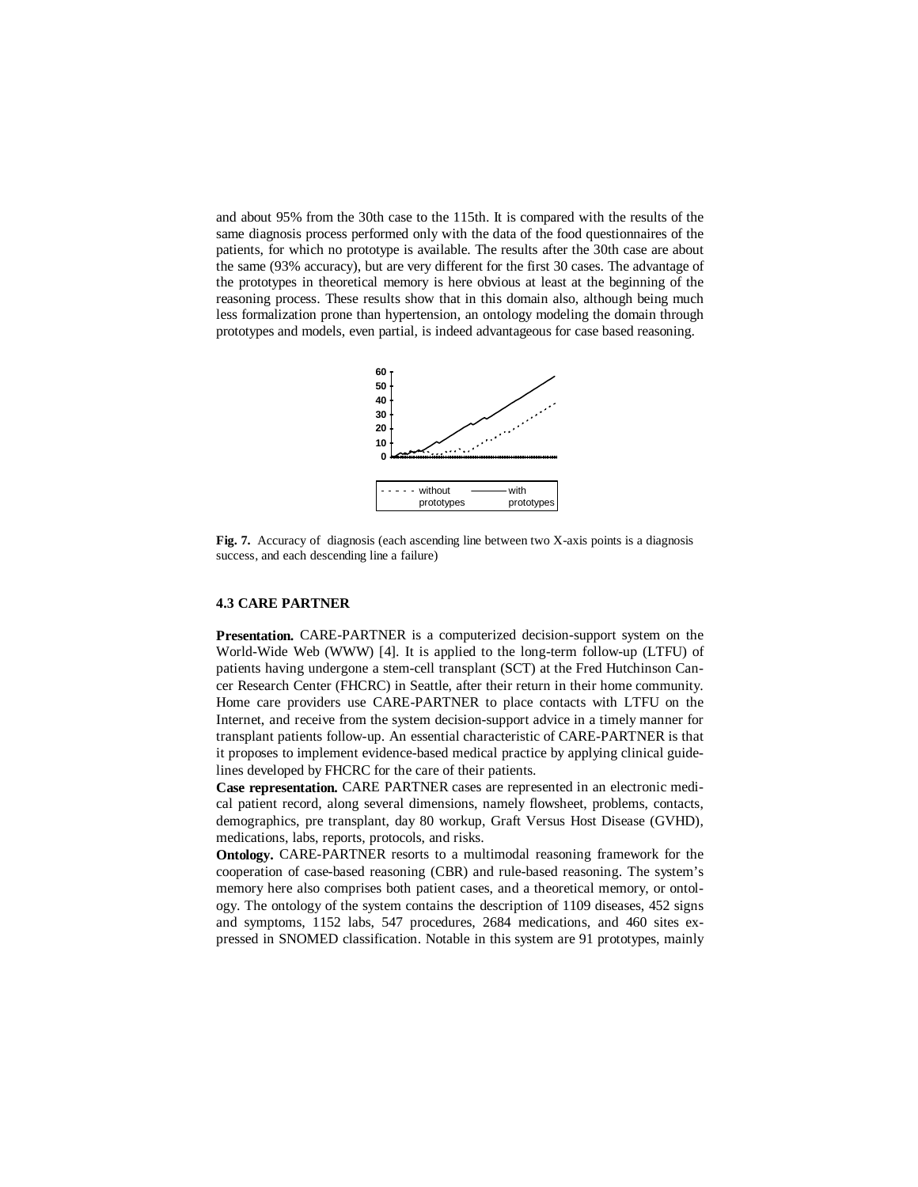and about 95% from the 30th case to the 115th. It is compared with the results of the same diagnosis process performed only with the data of the food questionnaires of the patients, for which no prototype is available. The results after the 30th case are about the same (93% accuracy), but are very different for the first 30 cases. The advantage of the prototypes in theoretical memory is here obvious at least at the beginning of the reasoning process. These results show that in this domain also, although being much less formalization prone than hypertension, an ontology modeling the domain through prototypes and models, even partial, is indeed advantageous for case based reasoning.



Fig. 7. Accuracy of diagnosis (each ascending line between two X-axis points is a diagnosis success, and each descending line a failure)

# **4.3 CARE PARTNER**

**Presentation.** CARE-PARTNER is a computerized decision-support system on the World-Wide Web (WWW) [4]. It is applied to the long-term follow-up (LTFU) of patients having undergone a stem-cell transplant (SCT) at the Fred Hutchinson Cancer Research Center (FHCRC) in Seattle, after their return in their home community. Home care providers use CARE-PARTNER to place contacts with LTFU on the Internet, and receive from the system decision-support advice in a timely manner for transplant patients follow-up. An essential characteristic of CARE-PARTNER is that it proposes to implement evidence-based medical practice by applying clinical guidelines developed by FHCRC for the care of their patients.

**Case representation.** CARE PARTNER cases are represented in an electronic medical patient record, along several dimensions, namely flowsheet, problems, contacts, demographics, pre transplant, day 80 workup, Graft Versus Host Disease (GVHD), medications, labs, reports, protocols, and risks.

**Ontology.** CARE-PARTNER resorts to a multimodal reasoning framework for the cooperation of case-based reasoning (CBR) and rule-based reasoning. The system's memory here also comprises both patient cases, and a theoretical memory, or ontology. The ontology of the system contains the description of 1109 diseases, 452 signs and symptoms, 1152 labs, 547 procedures, 2684 medications, and 460 sites expressed in SNOMED classification. Notable in this system are 91 prototypes, mainly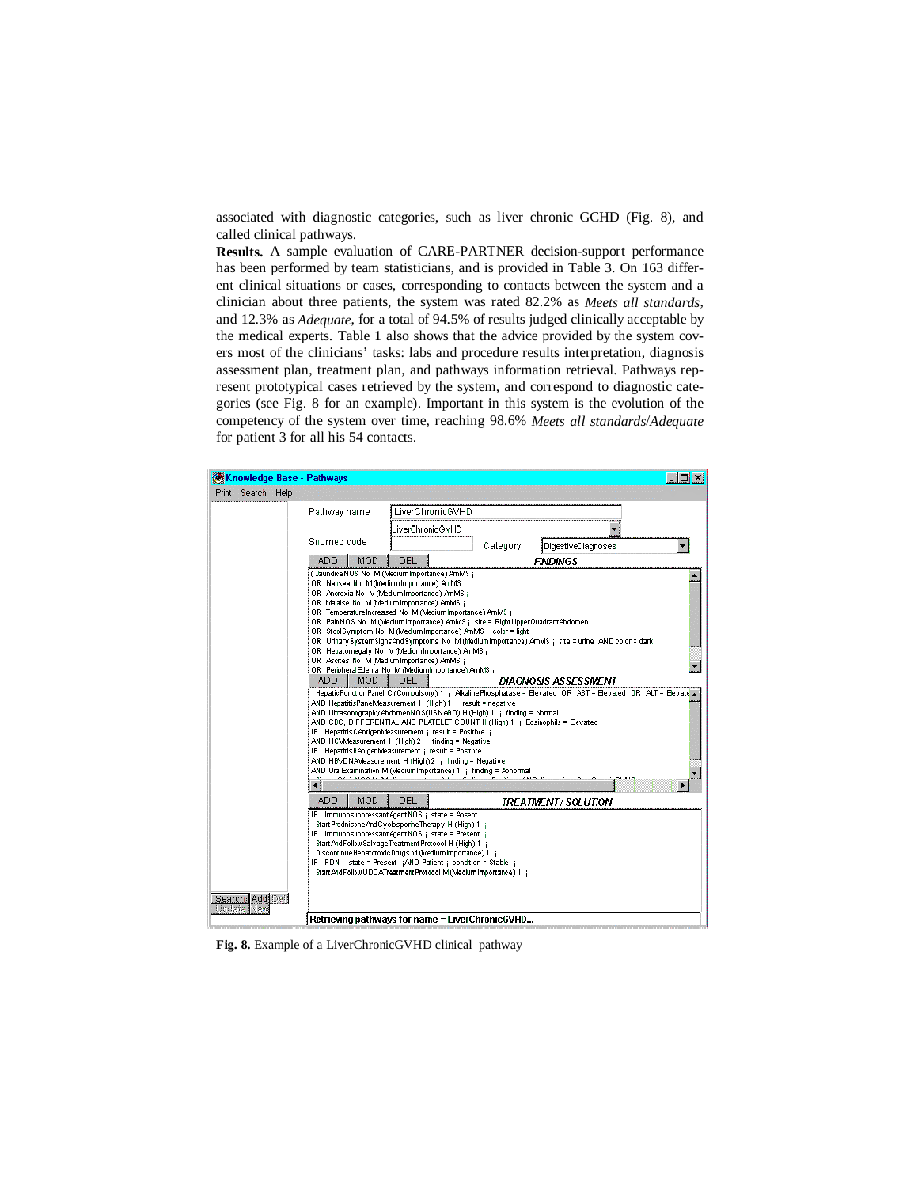associated with diagnostic categories, such as liver chronic GCHD (Fig. 8), and called clinical pathways.

**Results.** A sample evaluation of CARE-PARTNER decision-support performance has been performed by team statisticians, and is provided in Table 3. On 163 different clinical situations or cases, corresponding to contacts between the system and a clinician about three patients, the system was rated 82.2% as *Meets all standards*, and 12.3% as *Adequate*, for a total of 94.5% of results judged clinically acceptable by the medical experts. Table 1 also shows that the advice provided by the system covers most of the clinicians' tasks: labs and procedure results interpretation, diagnosis assessment plan, treatment plan, and pathways information retrieval. Pathways represent prototypical cases retrieved by the system, and correspond to diagnostic categories (see Fig. 8 for an example). Important in this system is the evolution of the competency of the system over time, reaching 98.6% *Meets all standards*/*Adequate* for patient 3 for all his 54 contacts.



**Fig. 8.** Example of a LiverChronicGVHD clinical pathway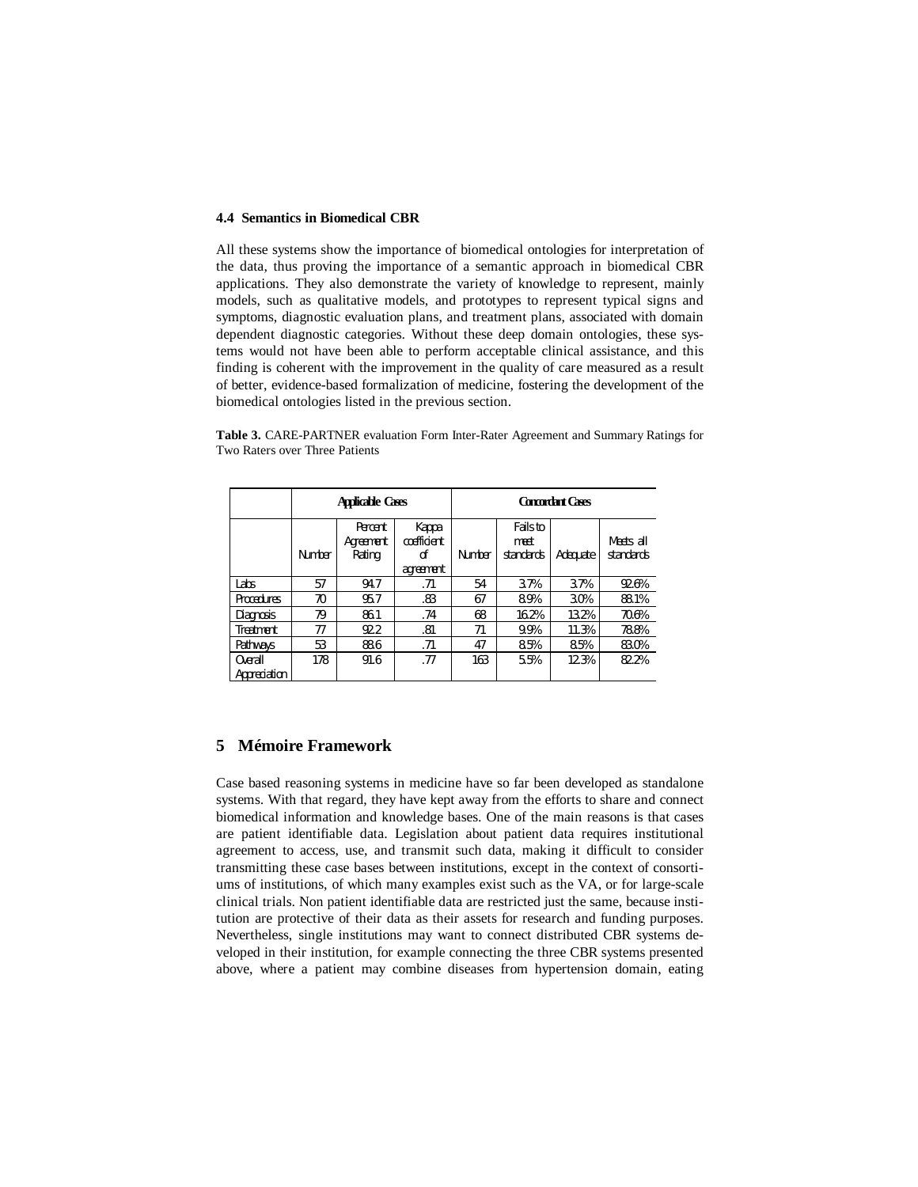#### **4.4 Semantics in Biomedical CBR**

All these systems show the importance of biomedical ontologies for interpretation of the data, thus proving the importance of a semantic approach in biomedical CBR applications. They also demonstrate the variety of knowledge to represent, mainly models, such as qualitative models, and prototypes to represent typical signs and symptoms, diagnostic evaluation plans, and treatment plans, associated with domain dependent diagnostic categories. Without these deep domain ontologies, these systems would not have been able to perform acceptable clinical assistance, and this finding is coherent with the improvement in the quality of care measured as a result of better, evidence-based formalization of medicine, fostering the development of the biomedical ontologies listed in the previous section.

|                         | <b>Applicable Cases</b> |                                       |                                       | <b>Commant Cass</b> |                             |          |                       |
|-------------------------|-------------------------|---------------------------------------|---------------------------------------|---------------------|-----------------------------|----------|-----------------------|
|                         | Nmber                   | <b>Percent</b><br>Agreement<br>Rating | Kapa<br>mefficient<br>бf<br>agreement | Nmber               | Failsto<br>met<br>standards | Adequate | Mets all<br>standards |
| <b>Labs</b>             | 57                      | 94.7                                  | .71                                   | 54                  | 37%                         | 37%      | 92.6%                 |
| <b>Procedures</b>       | $\boldsymbol{\pi}$      | 957                                   | .83                                   | 67                  | 8.9%                        | 30%      | <b>88.1%</b>          |
| Diagnosis               | 79                      | 861                                   | .74                                   | 68                  | 16.2%                       | 132%     | 70.6%                 |
| Treatment               | $\tau$                  | 92.2                                  | .81                                   | 71                  | 9.9%                        | 11.3%    | 78.8%                 |
| Pathways                | 53                      | 886                                   | .71                                   | 47                  | 8.5%                        | 85%      | 83.0%                 |
| Overall<br>Accreciation | 178                     | 91.6                                  | .77                                   | 163                 | 5.5%                        | 12.3%    | 82.2%                 |

**Table 3.** CARE-PARTNER evaluation Form Inter-Rater Agreement and Summary Ratings for Two Raters over Three Patients

# **5 Mémoire Framework**

Case based reasoning systems in medicine have so far been developed as standalone systems. With that regard, they have kept away from the efforts to share and connect biomedical information and knowledge bases. One of the main reasons is that cases are patient identifiable data. Legislation about patient data requires institutional agreement to access, use, and transmit such data, making it difficult to consider transmitting these case bases between institutions, except in the context of consortiums of institutions, of which many examples exist such as the VA, or for large-scale clinical trials. Non patient identifiable data are restricted just the same, because institution are protective of their data as their assets for research and funding purposes. Nevertheless, single institutions may want to connect distributed CBR systems developed in their institution, for example connecting the three CBR systems presented above, where a patient may combine diseases from hypertension domain, eating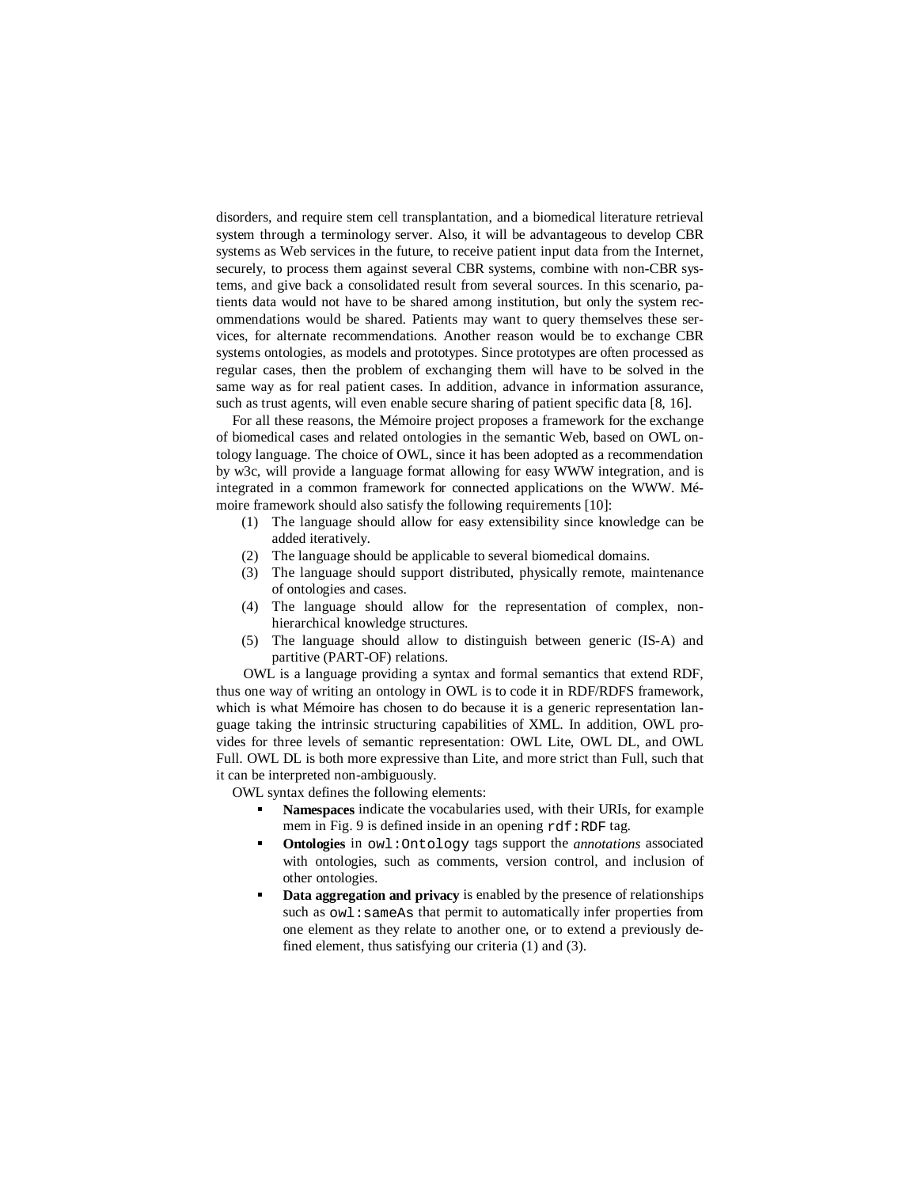disorders, and require stem cell transplantation, and a biomedical literature retrieval system through a terminology server. Also, it will be advantageous to develop CBR systems as Web services in the future, to receive patient input data from the Internet, securely, to process them against several CBR systems, combine with non-CBR systems, and give back a consolidated result from several sources. In this scenario, patients data would not have to be shared among institution, but only the system recommendations would be shared. Patients may want to query themselves these services, for alternate recommendations. Another reason would be to exchange CBR systems ontologies, as models and prototypes. Since prototypes are often processed as regular cases, then the problem of exchanging them will have to be solved in the same way as for real patient cases. In addition, advance in information assurance, such as trust agents, will even enable secure sharing of patient specific data [8, 16].

For all these reasons, the Mémoire project proposes a framework for the exchange of biomedical cases and related ontologies in the semantic Web, based on OWL ontology language. The choice of OWL, since it has been adopted as a recommendation by w3c, will provide a language format allowing for easy WWW integration, and is integrated in a common framework for connected applications on the WWW. Mémoire framework should also satisfy the following requirements [10]:

- (1) The language should allow for easy extensibility since knowledge can be added iteratively.
- (2) The language should be applicable to several biomedical domains.
- (3) The language should support distributed, physically remote, maintenance of ontologies and cases.
- (4) The language should allow for the representation of complex, nonhierarchical knowledge structures.
- (5) The language should allow to distinguish between generic (IS-A) and partitive (PART-OF) relations.

 OWL is a language providing a syntax and formal semantics that extend RDF, thus one way of writing an ontology in OWL is to code it in RDF/RDFS framework, which is what Mémoire has chosen to do because it is a generic representation language taking the intrinsic structuring capabilities of XML. In addition, OWL provides for three levels of semantic representation: OWL Lite, OWL DL, and OWL Full. OWL DL is both more expressive than Lite, and more strict than Full, such that it can be interpreted non-ambiguously.

OWL syntax defines the following elements:

- **Namespaces** indicate the vocabularies used, with their URIs, for example mem in Fig. 9 is defined inside in an opening  $\text{rdf}$ :RDF tag.
- **Ontologies** in owl:Ontology tags support the *annotations* associated with ontologies, such as comments, version control, and inclusion of other ontologies.
- **Data aggregation and privacy** is enabled by the presence of relationships such as  $ow1:sameAs$  that permit to automatically infer properties from one element as they relate to another one, or to extend a previously defined element, thus satisfying our criteria (1) and (3).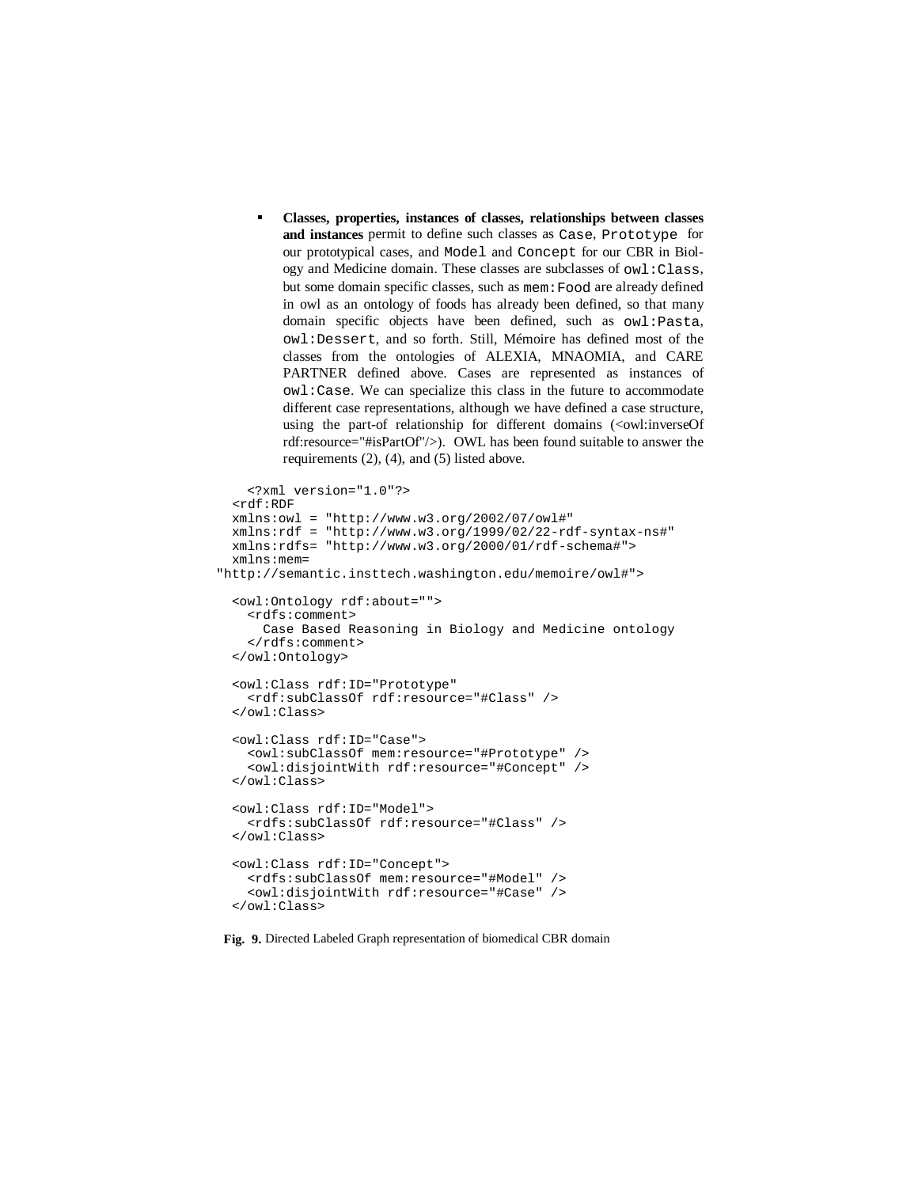**Classes, properties, instances of classes, relationships between classes and instances** permit to define such classes as Case, Prototype for our prototypical cases, and Model and Concept for our CBR in Biology and Medicine domain. These classes are subclasses of owl:Class, but some domain specific classes, such as mem:Food are already defined in owl as an ontology of foods has already been defined, so that many domain specific objects have been defined, such as owl:Pasta, owl:Dessert, and so forth. Still, Mémoire has defined most of the classes from the ontologies of ALEXIA, MNAOMIA, and CARE PARTNER defined above. Cases are represented as instances of owl:Case. We can specialize this class in the future to accommodate different case representations, although we have defined a case structure, using the part-of relationship for different domains (<owl:inverseOf rdf:resource="#isPartOf"/>). OWL has been found suitable to answer the requirements (2), (4), and (5) listed above.

```
 <?xml version="1.0"?> 
  <rdf:RDF 
  xmlns:owl = "http://www.w3.org/2002/07/owl#" 
  xmlns:rdf = "http://www.w3.org/1999/02/22-rdf-syntax-ns#" 
  xmlns:rdfs= "http://www.w3.org/2000/01/rdf-schema#"> 
  xmlns:mem= 
"http://semantic.insttech.washington.edu/memoire/owl#"> 
   <owl:Ontology rdf:about=""> 
     <rdfs:comment> 
       Case Based Reasoning in Biology and Medicine ontology 
     </rdfs:comment> 
   </owl:Ontology> 
   <owl:Class rdf:ID="Prototype" 
     <rdf:subClassOf rdf:resource="#Class" /> 
   </owl:Class> 
   <owl:Class rdf:ID="Case"> 
     <owl:subClassOf mem:resource="#Prototype" /> 
     <owl:disjointWith rdf:resource="#Concept" /> 
   </owl:Class> 
   <owl:Class rdf:ID="Model"> 
     <rdfs:subClassOf rdf:resource="#Class" /> 
   </owl:Class> 
   <owl:Class rdf:ID="Concept"> 
     <rdfs:subClassOf mem:resource="#Model" /> 
     <owl:disjointWith rdf:resource="#Case" /> 
   </owl:Class>
```
**Fig. 9.** Directed Labeled Graph representation of biomedical CBR domain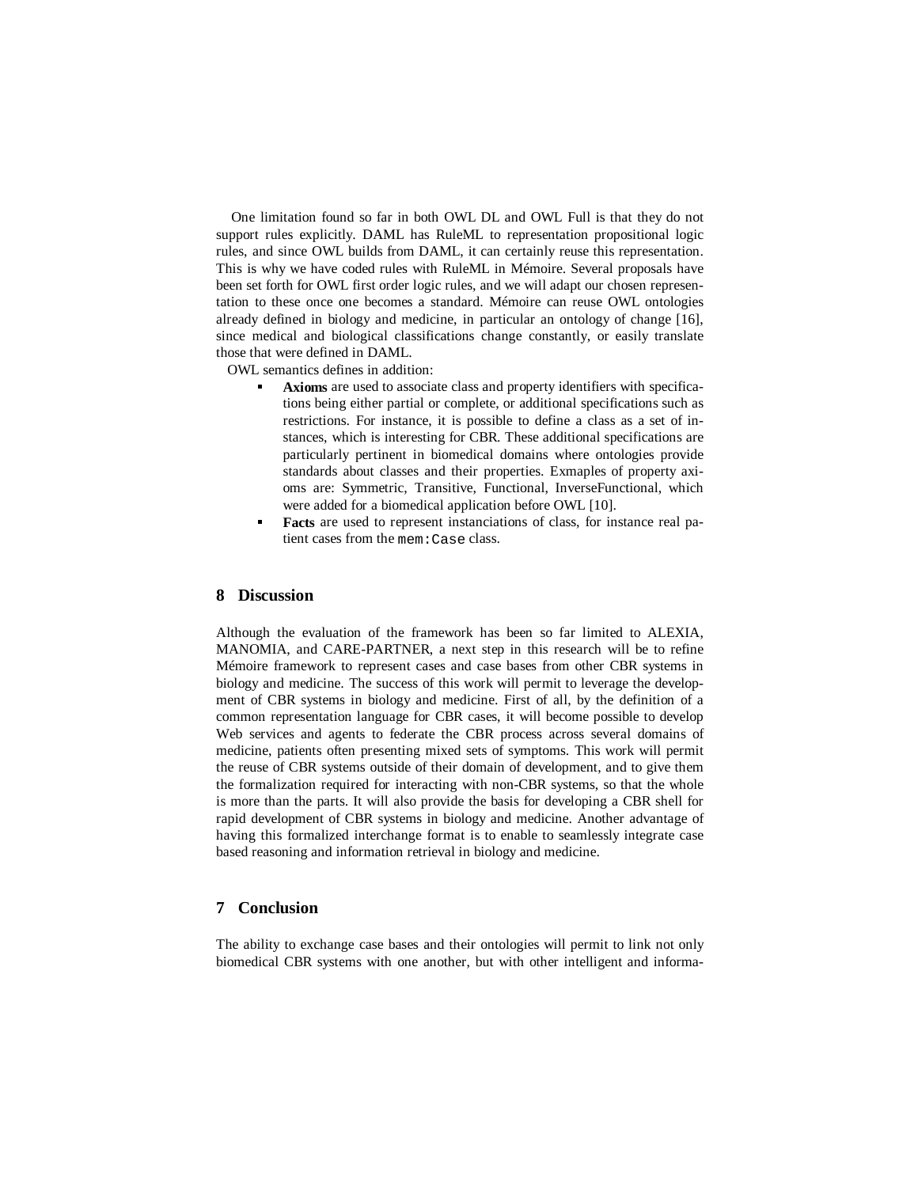One limitation found so far in both OWL DL and OWL Full is that they do not support rules explicitly. DAML has RuleML to representation propositional logic rules, and since OWL builds from DAML, it can certainly reuse this representation. This is why we have coded rules with RuleML in Mémoire. Several proposals have been set forth for OWL first order logic rules, and we will adapt our chosen representation to these once one becomes a standard. Mémoire can reuse OWL ontologies already defined in biology and medicine, in particular an ontology of change [16], since medical and biological classifications change constantly, or easily translate those that were defined in DAML.

OWL semantics defines in addition:

- **Axioms** are used to associate class and property identifiers with specifications being either partial or complete, or additional specifications such as restrictions. For instance, it is possible to define a class as a set of instances, which is interesting for CBR. These additional specifications are particularly pertinent in biomedical domains where ontologies provide standards about classes and their properties. Exmaples of property axioms are: Symmetric, Transitive, Functional, InverseFunctional, which were added for a biomedical application before OWL [10].
- **Facts** are used to represent instanciations of class, for instance real patient cases from the mem:Case class.

#### **8 Discussion**

Although the evaluation of the framework has been so far limited to ALEXIA, MANOMIA, and CARE-PARTNER, a next step in this research will be to refine Mémoire framework to represent cases and case bases from other CBR systems in biology and medicine. The success of this work will permit to leverage the development of CBR systems in biology and medicine. First of all, by the definition of a common representation language for CBR cases, it will become possible to develop Web services and agents to federate the CBR process across several domains of medicine, patients often presenting mixed sets of symptoms. This work will permit the reuse of CBR systems outside of their domain of development, and to give them the formalization required for interacting with non-CBR systems, so that the whole is more than the parts. It will also provide the basis for developing a CBR shell for rapid development of CBR systems in biology and medicine. Another advantage of having this formalized interchange format is to enable to seamlessly integrate case based reasoning and information retrieval in biology and medicine.

### **7 Conclusion**

The ability to exchange case bases and their ontologies will permit to link not only biomedical CBR systems with one another, but with other intelligent and informa-